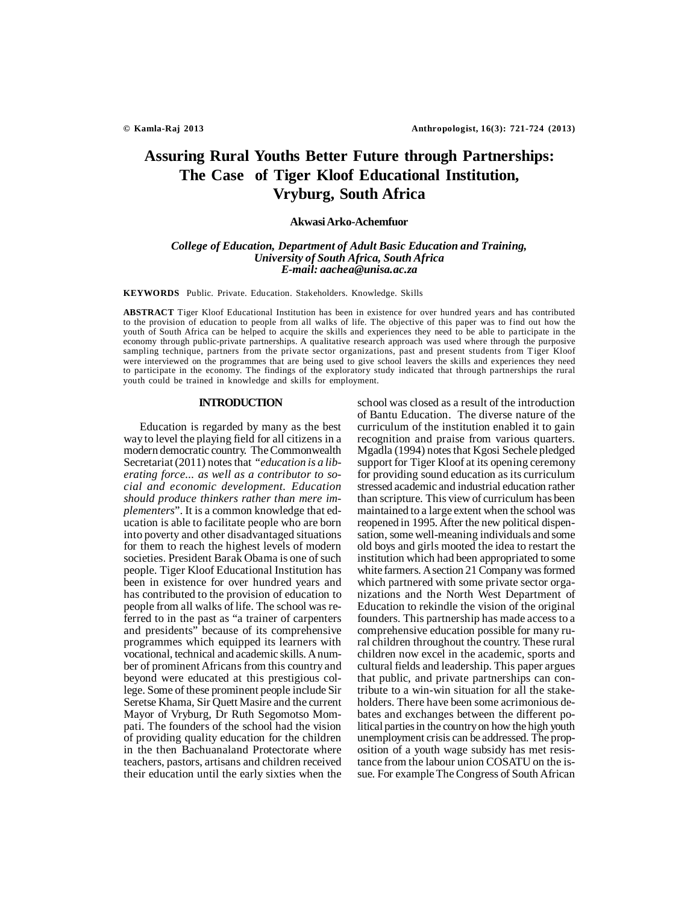# **Assuring Rural Youths Better Future through Partnerships: The Case of Tiger Kloof Educational Institution, Vryburg, South Africa**

#### **Akwasi Arko-Achemfuor**

### *College of Education, Department of Adult Basic Education and Training, University of South Africa, South Africa E-mail: aachea@unisa.ac.za*

**KEYWORDS** Public. Private. Education. Stakeholders. Knowledge. Skills

**ABSTRACT** Tiger Kloof Educational Institution has been in existence for over hundred years and has contributed to the provision of education to people from all walks of life. The objective of this paper was to find out how the youth of South Africa can be helped to acquire the skills and experiences they need to be able to participate in the economy through public-private partnerships. A qualitative research approach was used where through the purposive sampling technique, partners from the private sector organizations, past and present students from Tiger Kloof were interviewed on the programmes that are being used to give school leavers the skills and experiences they need to participate in the economy. The findings of the exploratory study indicated that through partnerships the rural youth could be trained in knowledge and skills for employment.

## **INTRODUCTION**

Education is regarded by many as the best way to level the playing field for all citizens in a modern democratic country. The Commonwealth Secretariat (2011) notes that *"education is a liberating force... as well as a contributor to social and economic development. Education should produce thinkers rather than mere implementers*". It is a common knowledge that education is able to facilitate people who are born into poverty and other disadvantaged situations for them to reach the highest levels of modern societies. President Barak Obama is one of such people. Tiger Kloof Educational Institution has been in existence for over hundred years and has contributed to the provision of education to people from all walks of life. The school was referred to in the past as "a trainer of carpenters and presidents" because of its comprehensive programmes which equipped its learners with vocational, technical and academic skills. A number of prominent Africans from this country and beyond were educated at this prestigious college. Some of these prominent people include Sir Seretse Khama, Sir Quett Masire and the current Mayor of Vryburg, Dr Ruth Segomotso Mompati. The founders of the school had the vision of providing quality education for the children in the then Bachuanaland Protectorate where teachers, pastors, artisans and children received their education until the early sixties when the school was closed as a result of the introduction of Bantu Education. The diverse nature of the curriculum of the institution enabled it to gain recognition and praise from various quarters. Mgadla (1994) notes that Kgosi Sechele pledged support for Tiger Kloof at its opening ceremony for providing sound education as its curriculum stressed academic and industrial education rather than scripture. This view of curriculum has been maintained to a large extent when the school was reopened in 1995. After the new political dispensation, some well-meaning individuals and some old boys and girls mooted the idea to restart the institution which had been appropriated to some white farmers. A section 21 Company was formed which partnered with some private sector organizations and the North West Department of Education to rekindle the vision of the original founders. This partnership has made access to a comprehensive education possible for many rural children throughout the country. These rural children now excel in the academic, sports and cultural fields and leadership. This paper argues that public, and private partnerships can contribute to a win-win situation for all the stakeholders. There have been some acrimonious debates and exchanges between the different political parties in the country on how the high youth unemployment crisis can be addressed. The proposition of a youth wage subsidy has met resistance from the labour union COSATU on the issue. For example The Congress of South African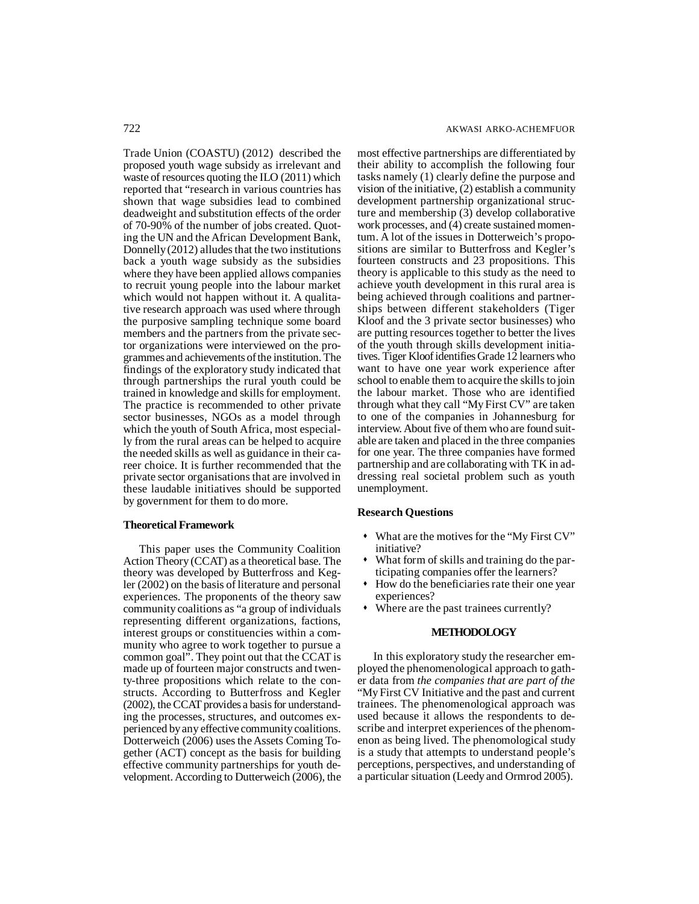Trade Union (COASTU) (2012) described the proposed youth wage subsidy as irrelevant and waste of resources quoting the ILO (2011) which reported that "research in various countries has shown that wage subsidies lead to combined deadweight and substitution effects of the order of 70-90% of the number of jobs created. Quoting the UN and the African Development Bank, Donnelly (2012) alludes that the two institutions back a youth wage subsidy as the subsidies where they have been applied allows companies to recruit young people into the labour market which would not happen without it. A qualitative research approach was used where through the purposive sampling technique some board members and the partners from the private sector organizations were interviewed on the programmes and achievements of the institution. The findings of the exploratory study indicated that through partnerships the rural youth could be trained in knowledge and skills for employment. The practice is recommended to other private sector businesses, NGOs as a model through which the youth of South Africa, most especially from the rural areas can be helped to acquire the needed skills as well as guidance in their career choice. It is further recommended that the private sector organisations that are involved in these laudable initiatives should be supported by government for them to do more.

## **Theoretical Framework**

This paper uses the Community Coalition Action Theory (CCAT) as a theoretical base. The theory was developed by Butterfross and Kegler (2002) on the basis of literature and personal experiences. The proponents of the theory saw community coalitions as "a group of individuals representing different organizations, factions, interest groups or constituencies within a community who agree to work together to pursue a common goal". They point out that the CCAT is made up of fourteen major constructs and twenty-three propositions which relate to the constructs. According to Butterfross and Kegler (2002), the CCAT provides a basis for understanding the processes, structures, and outcomes experienced by any effective community coalitions. Dotterweich (2006) uses the Assets Coming Together (ACT) concept as the basis for building effective community partnerships for youth development. According to Dutterweich (2006), the most effective partnerships are differentiated by their ability to accomplish the following four tasks namely (1) clearly define the purpose and vision of the initiative, (2) establish a community development partnership organizational structure and membership (3) develop collaborative work processes, and (4) create sustained momentum. A lot of the issues in Dotterweich's propositions are similar to Butterfross and Kegler's fourteen constructs and 23 propositions. This theory is applicable to this study as the need to achieve youth development in this rural area is being achieved through coalitions and partnerships between different stakeholders (Tiger Kloof and the 3 private sector businesses) who are putting resources together to better the lives of the youth through skills development initiatives. Tiger Kloof identifies Grade 12 learners who want to have one year work experience after school to enable them to acquire the skills to join the labour market. Those who are identified through what they call "My First CV" are taken to one of the companies in Johannesburg for interview. About five of them who are found suitable are taken and placed in the three companies for one year. The three companies have formed partnership and are collaborating with TK in addressing real societal problem such as youth unemployment.

## **Research Questions**

- What are the motives for the "My First CV" initiative?
- What form of skills and training do the participating companies offer the learners?
- How do the beneficiaries rate their one year experiences?
- Where are the past trainees currently?

## **METHODOLOGY**

In this exploratory study the researcher employed the phenomenological approach to gather data from *the companies that are part of the* "My First CV Initiative and the past and current trainees. The phenomenological approach was used because it allows the respondents to describe and interpret experiences of the phenomenon as being lived. The phenomological study is a study that attempts to understand people's perceptions, perspectives, and understanding of a particular situation (Leedy and Ormrod 2005).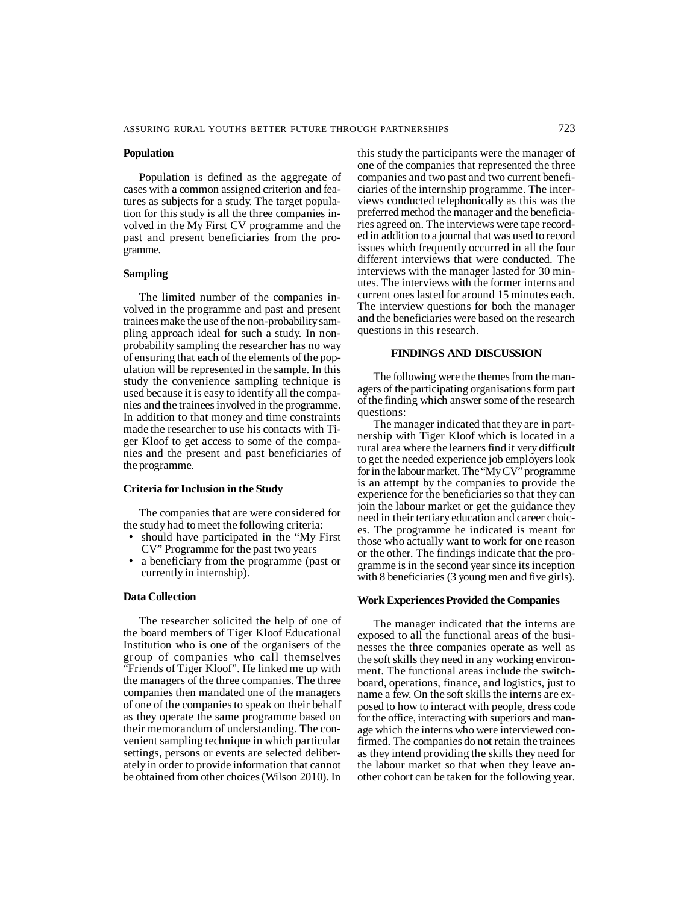#### **Population**

Population is defined as the aggregate of cases with a common assigned criterion and features as subjects for a study. The target population for this study is all the three companies involved in the My First CV programme and the past and present beneficiaries from the programme.

## **Sampling**

The limited number of the companies involved in the programme and past and present trainees make the use of the non-probability sampling approach ideal for such a study. In nonprobability sampling the researcher has no way of ensuring that each of the elements of the population will be represented in the sample. In this study the convenience sampling technique is used because it is easy to identify all the companies and the trainees involved in the programme. In addition to that money and time constraints made the researcher to use his contacts with Tiger Kloof to get access to some of the companies and the present and past beneficiaries of the programme.

#### **Criteria for Inclusion in the Study**

The companies that are were considered for the study had to meet the following criteria:

- should have participated in the "My First CV" Programme for the past two years
- a beneficiary from the programme (past or
- currently in internship).

## **Data Collection**

The researcher solicited the help of one of the board members of Tiger Kloof Educational Institution who is one of the organisers of the group of companies who call themselves "Friends of Tiger Kloof". He linked me up with the managers of the three companies. The three companies then mandated one of the managers of one of the companies to speak on their behalf as they operate the same programme based on their memorandum of understanding. The convenient sampling technique in which particular settings, persons or events are selected deliberately in order to provide information that cannot be obtained from other choices (Wilson 2010). In

this study the participants were the manager of one of the companies that represented the three companies and two past and two current beneficiaries of the internship programme. The interviews conducted telephonically as this was the preferred method the manager and the beneficiaries agreed on. The interviews were tape recorded in addition to a journal that was used to record issues which frequently occurred in all the four different interviews that were conducted. The interviews with the manager lasted for 30 minutes. The interviews with the former interns and current ones lasted for around 15 minutes each. The interview questions for both the manager and the beneficiaries were based on the research questions in this research.

#### **FINDINGS AND DISCUSSION**

The following were the themes from the managers of the participating organisations form part of the finding which answer some of the research questions:

The manager indicated that they are in partnership with Tiger Kloof which is located in a rural area where the learners find it very difficult to get the needed experience job employers look for in the labour market. The "My CV" programme is an attempt by the companies to provide the experience for the beneficiaries so that they can join the labour market or get the guidance they need in their tertiary education and career choices. The programme he indicated is meant for those who actually want to work for one reason or the other. The findings indicate that the programme is in the second year since its inception with 8 beneficiaries (3 young men and five girls).

## **Work Experiences Provided the Companies**

The manager indicated that the interns are exposed to all the functional areas of the businesses the three companies operate as well as the soft skills they need in any working environment. The functional areas include the switchboard, operations, finance, and logistics, just to name a few. On the soft skills the interns are exposed to how to interact with people, dress code for the office, interacting with superiors and manage which the interns who were interviewed confirmed. The companies do not retain the trainees as they intend providing the skills they need for the labour market so that when they leave another cohort can be taken for the following year.